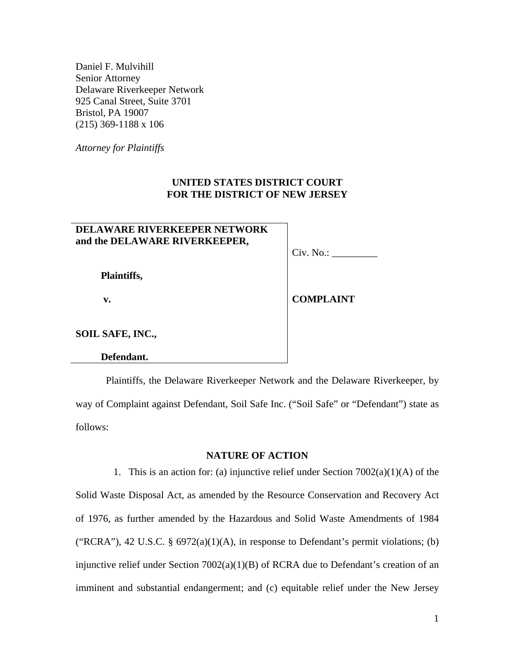Daniel F. Mulvihill Senior Attorney Delaware Riverkeeper Network 925 Canal Street, Suite 3701 Bristol, PA 19007 (215) 369-1188 x 106

*Attorney for Plaintiffs* 

# **UNITED STATES DISTRICT COURT FOR THE DISTRICT OF NEW JERSEY**

# **DELAWARE RIVERKEEPER NETWORK and the DELAWARE RIVERKEEPER,**

Civ. No.: \_\_\_\_\_\_\_\_\_

 **Plaintiffs,** 

 **v.** 

**COMPLAINT** 

**SOIL SAFE, INC.,** 

 **Defendant.** 

Plaintiffs, the Delaware Riverkeeper Network and the Delaware Riverkeeper, by way of Complaint against Defendant, Soil Safe Inc. ("Soil Safe" or "Defendant") state as follows:

# **NATURE OF ACTION**

1. This is an action for: (a) injunctive relief under Section 7002(a)(1)(A) of the Solid Waste Disposal Act, as amended by the Resource Conservation and Recovery Act of 1976, as further amended by the Hazardous and Solid Waste Amendments of 1984 ("RCRA"), 42 U.S.C. § 6972(a)(1)(A), in response to Defendant's permit violations; (b) injunctive relief under Section 7002(a)(1)(B) of RCRA due to Defendant's creation of an imminent and substantial endangerment; and (c) equitable relief under the New Jersey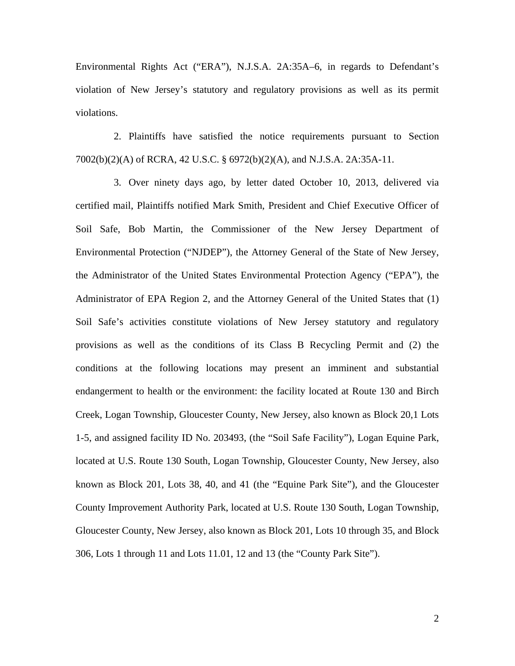Environmental Rights Act ("ERA"), N.J.S.A. 2A:35A–6, in regards to Defendant's violation of New Jersey's statutory and regulatory provisions as well as its permit violations.

2. Plaintiffs have satisfied the notice requirements pursuant to Section 7002(b)(2)(A) of RCRA, 42 U.S.C. § 6972(b)(2)(A), and N.J.S.A. 2A:35A-11.

3. Over ninety days ago, by letter dated October 10, 2013, delivered via certified mail, Plaintiffs notified Mark Smith, President and Chief Executive Officer of Soil Safe, Bob Martin, the Commissioner of the New Jersey Department of Environmental Protection ("NJDEP"), the Attorney General of the State of New Jersey, the Administrator of the United States Environmental Protection Agency ("EPA"), the Administrator of EPA Region 2, and the Attorney General of the United States that (1) Soil Safe's activities constitute violations of New Jersey statutory and regulatory provisions as well as the conditions of its Class B Recycling Permit and (2) the conditions at the following locations may present an imminent and substantial endangerment to health or the environment: the facility located at Route 130 and Birch Creek, Logan Township, Gloucester County, New Jersey, also known as Block 20,1 Lots 1-5, and assigned facility ID No. 203493, (the "Soil Safe Facility"), Logan Equine Park, located at U.S. Route 130 South, Logan Township, Gloucester County, New Jersey, also known as Block 201, Lots 38, 40, and 41 (the "Equine Park Site"), and the Gloucester County Improvement Authority Park, located at U.S. Route 130 South, Logan Township, Gloucester County, New Jersey, also known as Block 201, Lots 10 through 35, and Block 306, Lots 1 through 11 and Lots 11.01, 12 and 13 (the "County Park Site").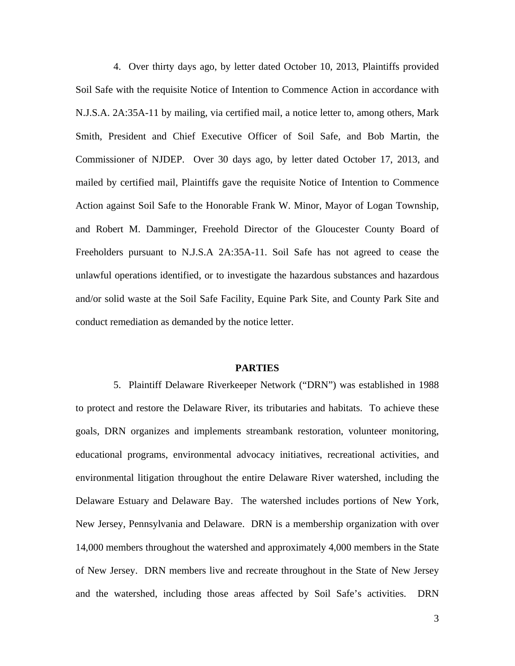4. Over thirty days ago, by letter dated October 10, 2013, Plaintiffs provided Soil Safe with the requisite Notice of Intention to Commence Action in accordance with N.J.S.A. 2A:35A-11 by mailing, via certified mail, a notice letter to, among others, Mark Smith, President and Chief Executive Officer of Soil Safe, and Bob Martin, the Commissioner of NJDEP. Over 30 days ago, by letter dated October 17, 2013, and mailed by certified mail, Plaintiffs gave the requisite Notice of Intention to Commence Action against Soil Safe to the Honorable Frank W. Minor, Mayor of Logan Township, and Robert M. Damminger, Freehold Director of the Gloucester County Board of Freeholders pursuant to N.J.S.A 2A:35A-11. Soil Safe has not agreed to cease the unlawful operations identified, or to investigate the hazardous substances and hazardous and/or solid waste at the Soil Safe Facility, Equine Park Site, and County Park Site and conduct remediation as demanded by the notice letter.

## **PARTIES**

5. Plaintiff Delaware Riverkeeper Network ("DRN") was established in 1988 to protect and restore the Delaware River, its tributaries and habitats. To achieve these goals, DRN organizes and implements streambank restoration, volunteer monitoring, educational programs, environmental advocacy initiatives, recreational activities, and environmental litigation throughout the entire Delaware River watershed, including the Delaware Estuary and Delaware Bay. The watershed includes portions of New York, New Jersey, Pennsylvania and Delaware. DRN is a membership organization with over 14,000 members throughout the watershed and approximately 4,000 members in the State of New Jersey. DRN members live and recreate throughout in the State of New Jersey and the watershed, including those areas affected by Soil Safe's activities. DRN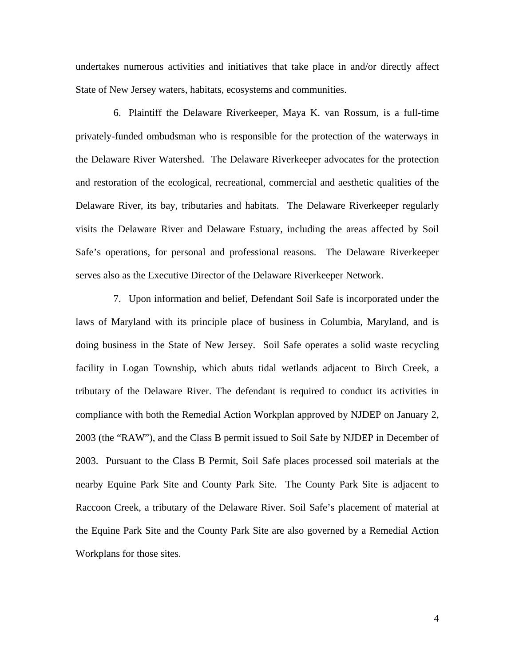undertakes numerous activities and initiatives that take place in and/or directly affect State of New Jersey waters, habitats, ecosystems and communities.

6. Plaintiff the Delaware Riverkeeper, Maya K. van Rossum, is a full-time privately-funded ombudsman who is responsible for the protection of the waterways in the Delaware River Watershed. The Delaware Riverkeeper advocates for the protection and restoration of the ecological, recreational, commercial and aesthetic qualities of the Delaware River, its bay, tributaries and habitats. The Delaware Riverkeeper regularly visits the Delaware River and Delaware Estuary, including the areas affected by Soil Safe's operations, for personal and professional reasons. The Delaware Riverkeeper serves also as the Executive Director of the Delaware Riverkeeper Network.

7. Upon information and belief, Defendant Soil Safe is incorporated under the laws of Maryland with its principle place of business in Columbia, Maryland, and is doing business in the State of New Jersey. Soil Safe operates a solid waste recycling facility in Logan Township, which abuts tidal wetlands adjacent to Birch Creek, a tributary of the Delaware River. The defendant is required to conduct its activities in compliance with both the Remedial Action Workplan approved by NJDEP on January 2, 2003 (the "RAW"), and the Class B permit issued to Soil Safe by NJDEP in December of 2003. Pursuant to the Class B Permit, Soil Safe places processed soil materials at the nearby Equine Park Site and County Park Site. The County Park Site is adjacent to Raccoon Creek, a tributary of the Delaware River. Soil Safe's placement of material at the Equine Park Site and the County Park Site are also governed by a Remedial Action Workplans for those sites.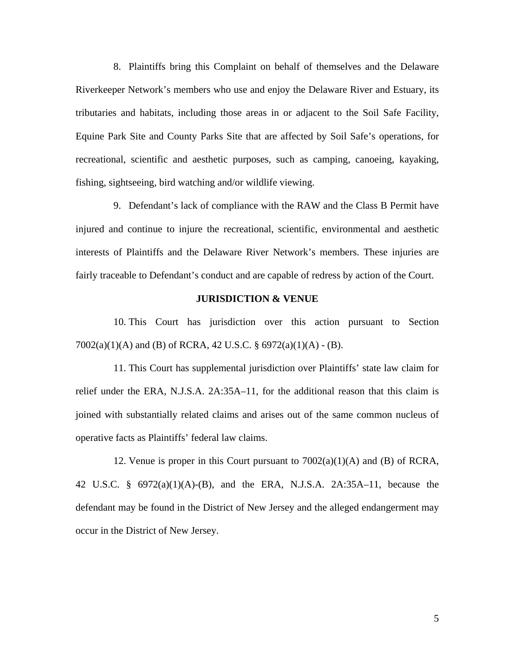8. Plaintiffs bring this Complaint on behalf of themselves and the Delaware Riverkeeper Network's members who use and enjoy the Delaware River and Estuary, its tributaries and habitats, including those areas in or adjacent to the Soil Safe Facility, Equine Park Site and County Parks Site that are affected by Soil Safe's operations, for recreational, scientific and aesthetic purposes, such as camping, canoeing, kayaking, fishing, sightseeing, bird watching and/or wildlife viewing.

9. Defendant's lack of compliance with the RAW and the Class B Permit have injured and continue to injure the recreational, scientific, environmental and aesthetic interests of Plaintiffs and the Delaware River Network's members. These injuries are fairly traceable to Defendant's conduct and are capable of redress by action of the Court.

## **JURISDICTION & VENUE**

10. This Court has jurisdiction over this action pursuant to Section 7002(a)(1)(A) and (B) of RCRA, 42 U.S.C. § 6972(a)(1)(A) - (B).

11. This Court has supplemental jurisdiction over Plaintiffs' state law claim for relief under the ERA, N.J.S.A. 2A:35A–11, for the additional reason that this claim is joined with substantially related claims and arises out of the same common nucleus of operative facts as Plaintiffs' federal law claims.

12. Venue is proper in this Court pursuant to 7002(a)(1)(A) and (B) of RCRA, 42 U.S.C. § 6972(a)(1)(A)-(B), and the ERA, N.J.S.A. 2A:35A–11, because the defendant may be found in the District of New Jersey and the alleged endangerment may occur in the District of New Jersey.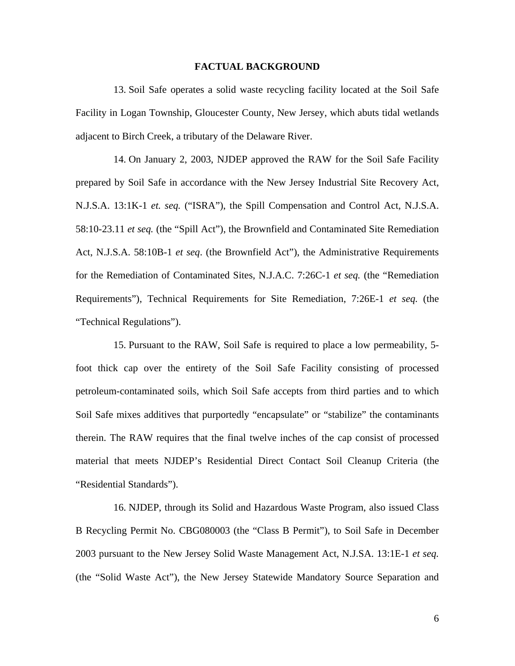### **FACTUAL BACKGROUND**

13. Soil Safe operates a solid waste recycling facility located at the Soil Safe Facility in Logan Township, Gloucester County, New Jersey, which abuts tidal wetlands adjacent to Birch Creek, a tributary of the Delaware River.

14. On January 2, 2003, NJDEP approved the RAW for the Soil Safe Facility prepared by Soil Safe in accordance with the New Jersey Industrial Site Recovery Act, N.J.S.A. 13:1K-1 *et. seq.* ("ISRA"), the Spill Compensation and Control Act, N.J.S.A. 58:10-23.11 *et seq.* (the "Spill Act"), the Brownfield and Contaminated Site Remediation Act, N.J.S.A. 58:10B-1 *et seq*. (the Brownfield Act"), the Administrative Requirements for the Remediation of Contaminated Sites, N.J.A.C. 7:26C-1 *et seq.* (the "Remediation Requirements"), Technical Requirements for Site Remediation, 7:26E-1 *et seq.* (the "Technical Regulations").

15. Pursuant to the RAW, Soil Safe is required to place a low permeability, 5 foot thick cap over the entirety of the Soil Safe Facility consisting of processed petroleum-contaminated soils, which Soil Safe accepts from third parties and to which Soil Safe mixes additives that purportedly "encapsulate" or "stabilize" the contaminants therein. The RAW requires that the final twelve inches of the cap consist of processed material that meets NJDEP's Residential Direct Contact Soil Cleanup Criteria (the "Residential Standards").

16. NJDEP, through its Solid and Hazardous Waste Program, also issued Class B Recycling Permit No. CBG080003 (the "Class B Permit"), to Soil Safe in December 2003 pursuant to the New Jersey Solid Waste Management Act, N.J.SA. 13:1E-1 *et seq.* (the "Solid Waste Act"), the New Jersey Statewide Mandatory Source Separation and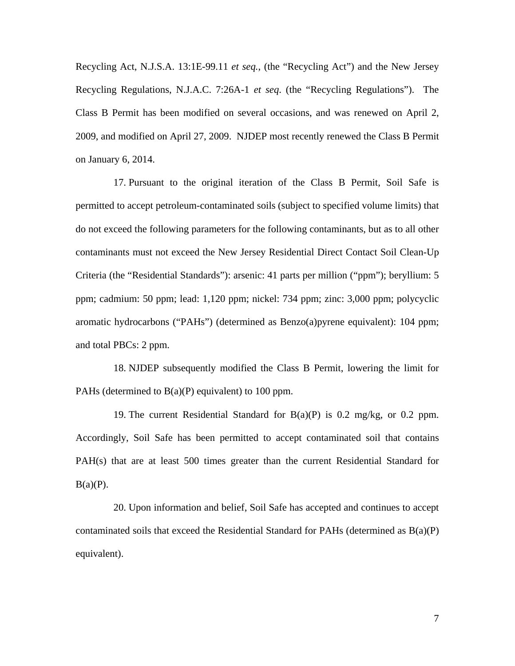Recycling Act, N.J.S.A. 13:1E-99.11 *et seq.*, (the "Recycling Act") and the New Jersey Recycling Regulations, N.J.A.C. 7:26A-1 *et seq*. (the "Recycling Regulations"). The Class B Permit has been modified on several occasions, and was renewed on April 2, 2009, and modified on April 27, 2009. NJDEP most recently renewed the Class B Permit on January 6, 2014.

17. Pursuant to the original iteration of the Class B Permit, Soil Safe is permitted to accept petroleum-contaminated soils (subject to specified volume limits) that do not exceed the following parameters for the following contaminants, but as to all other contaminants must not exceed the New Jersey Residential Direct Contact Soil Clean-Up Criteria (the "Residential Standards"): arsenic: 41 parts per million ("ppm"); beryllium: 5 ppm; cadmium: 50 ppm; lead: 1,120 ppm; nickel: 734 ppm; zinc: 3,000 ppm; polycyclic aromatic hydrocarbons ("PAHs") (determined as Benzo(a)pyrene equivalent): 104 ppm; and total PBCs: 2 ppm.

18. NJDEP subsequently modified the Class B Permit, lowering the limit for PAHs (determined to  $B(a)(P)$  equivalent) to 100 ppm.

19. The current Residential Standard for  $B(a)(P)$  is 0.2 mg/kg, or 0.2 ppm. Accordingly, Soil Safe has been permitted to accept contaminated soil that contains PAH(s) that are at least 500 times greater than the current Residential Standard for  $B(a)(P)$ .

20. Upon information and belief, Soil Safe has accepted and continues to accept contaminated soils that exceed the Residential Standard for PAHs (determined as  $B(a)(P)$ ) equivalent).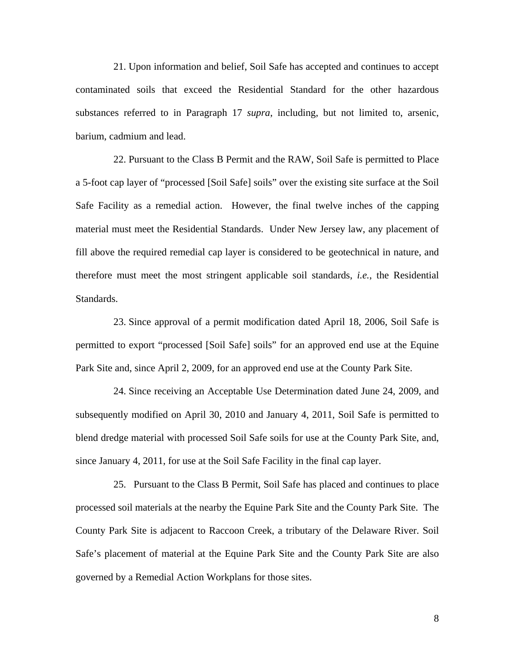21. Upon information and belief, Soil Safe has accepted and continues to accept contaminated soils that exceed the Residential Standard for the other hazardous substances referred to in Paragraph 17 *supra*, including, but not limited to, arsenic, barium, cadmium and lead.

22. Pursuant to the Class B Permit and the RAW, Soil Safe is permitted to Place a 5-foot cap layer of "processed [Soil Safe] soils" over the existing site surface at the Soil Safe Facility as a remedial action. However, the final twelve inches of the capping material must meet the Residential Standards. Under New Jersey law, any placement of fill above the required remedial cap layer is considered to be geotechnical in nature, and therefore must meet the most stringent applicable soil standards, *i.e.*, the Residential Standards.

23. Since approval of a permit modification dated April 18, 2006, Soil Safe is permitted to export "processed [Soil Safe] soils" for an approved end use at the Equine Park Site and, since April 2, 2009, for an approved end use at the County Park Site.

24. Since receiving an Acceptable Use Determination dated June 24, 2009, and subsequently modified on April 30, 2010 and January 4, 2011, Soil Safe is permitted to blend dredge material with processed Soil Safe soils for use at the County Park Site, and, since January 4, 2011, for use at the Soil Safe Facility in the final cap layer.

25. Pursuant to the Class B Permit, Soil Safe has placed and continues to place processed soil materials at the nearby the Equine Park Site and the County Park Site. The County Park Site is adjacent to Raccoon Creek, a tributary of the Delaware River. Soil Safe's placement of material at the Equine Park Site and the County Park Site are also governed by a Remedial Action Workplans for those sites.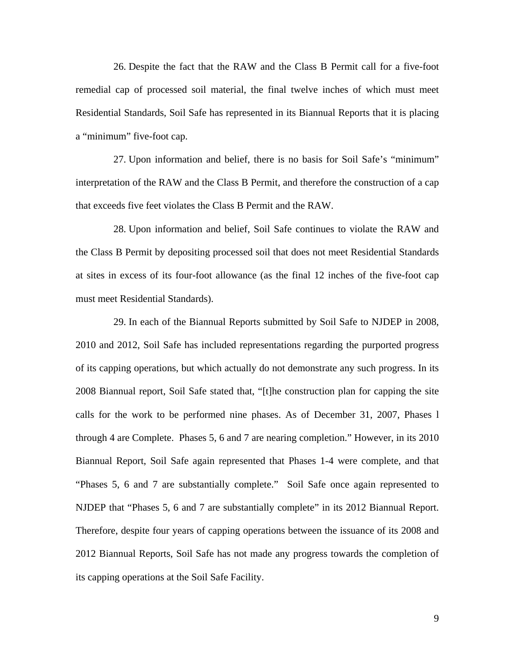26. Despite the fact that the RAW and the Class B Permit call for a five-foot remedial cap of processed soil material, the final twelve inches of which must meet Residential Standards, Soil Safe has represented in its Biannual Reports that it is placing a "minimum" five-foot cap.

27. Upon information and belief, there is no basis for Soil Safe's "minimum" interpretation of the RAW and the Class B Permit, and therefore the construction of a cap that exceeds five feet violates the Class B Permit and the RAW.

28. Upon information and belief, Soil Safe continues to violate the RAW and the Class B Permit by depositing processed soil that does not meet Residential Standards at sites in excess of its four-foot allowance (as the final 12 inches of the five-foot cap must meet Residential Standards).

29. In each of the Biannual Reports submitted by Soil Safe to NJDEP in 2008, 2010 and 2012, Soil Safe has included representations regarding the purported progress of its capping operations, but which actually do not demonstrate any such progress. In its 2008 Biannual report, Soil Safe stated that, "[t]he construction plan for capping the site calls for the work to be performed nine phases. As of December 31, 2007, Phases l through 4 are Complete. Phases 5, 6 and 7 are nearing completion." However, in its 2010 Biannual Report, Soil Safe again represented that Phases 1-4 were complete, and that "Phases 5, 6 and 7 are substantially complete." Soil Safe once again represented to NJDEP that "Phases 5, 6 and 7 are substantially complete" in its 2012 Biannual Report. Therefore, despite four years of capping operations between the issuance of its 2008 and 2012 Biannual Reports, Soil Safe has not made any progress towards the completion of its capping operations at the Soil Safe Facility.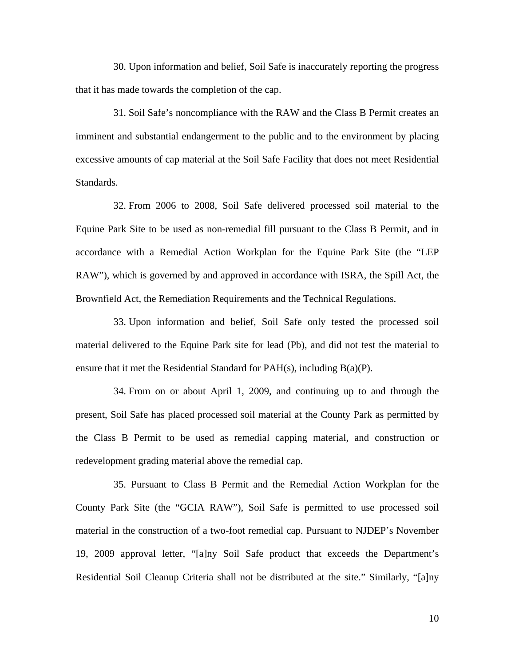30. Upon information and belief, Soil Safe is inaccurately reporting the progress that it has made towards the completion of the cap.

31. Soil Safe's noncompliance with the RAW and the Class B Permit creates an imminent and substantial endangerment to the public and to the environment by placing excessive amounts of cap material at the Soil Safe Facility that does not meet Residential Standards.

32. From 2006 to 2008, Soil Safe delivered processed soil material to the Equine Park Site to be used as non-remedial fill pursuant to the Class B Permit, and in accordance with a Remedial Action Workplan for the Equine Park Site (the "LEP RAW"), which is governed by and approved in accordance with ISRA, the Spill Act, the Brownfield Act, the Remediation Requirements and the Technical Regulations.

33. Upon information and belief, Soil Safe only tested the processed soil material delivered to the Equine Park site for lead (Pb), and did not test the material to ensure that it met the Residential Standard for  $PAH(s)$ , including  $B(a)(P)$ .

34. From on or about April 1, 2009, and continuing up to and through the present, Soil Safe has placed processed soil material at the County Park as permitted by the Class B Permit to be used as remedial capping material, and construction or redevelopment grading material above the remedial cap.

35. Pursuant to Class B Permit and the Remedial Action Workplan for the County Park Site (the "GCIA RAW"), Soil Safe is permitted to use processed soil material in the construction of a two-foot remedial cap. Pursuant to NJDEP's November 19, 2009 approval letter, "[a]ny Soil Safe product that exceeds the Department's Residential Soil Cleanup Criteria shall not be distributed at the site." Similarly, "[a]ny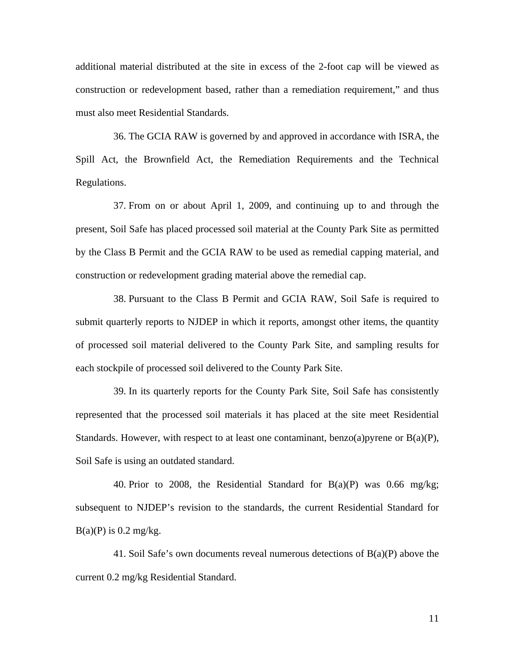additional material distributed at the site in excess of the 2-foot cap will be viewed as construction or redevelopment based, rather than a remediation requirement," and thus must also meet Residential Standards.

36. The GCIA RAW is governed by and approved in accordance with ISRA, the Spill Act, the Brownfield Act, the Remediation Requirements and the Technical Regulations.

37. From on or about April 1, 2009, and continuing up to and through the present, Soil Safe has placed processed soil material at the County Park Site as permitted by the Class B Permit and the GCIA RAW to be used as remedial capping material, and construction or redevelopment grading material above the remedial cap.

38. Pursuant to the Class B Permit and GCIA RAW, Soil Safe is required to submit quarterly reports to NJDEP in which it reports, amongst other items, the quantity of processed soil material delivered to the County Park Site, and sampling results for each stockpile of processed soil delivered to the County Park Site.

39. In its quarterly reports for the County Park Site, Soil Safe has consistently represented that the processed soil materials it has placed at the site meet Residential Standards. However, with respect to at least one contaminant, benzo(a)pyrene or  $B(a)(P)$ , Soil Safe is using an outdated standard.

40. Prior to 2008, the Residential Standard for  $B(a)(P)$  was 0.66 mg/kg; subsequent to NJDEP's revision to the standards, the current Residential Standard for  $B(a)(P)$  is 0.2 mg/kg.

41. Soil Safe's own documents reveal numerous detections of B(a)(P) above the current 0.2 mg/kg Residential Standard.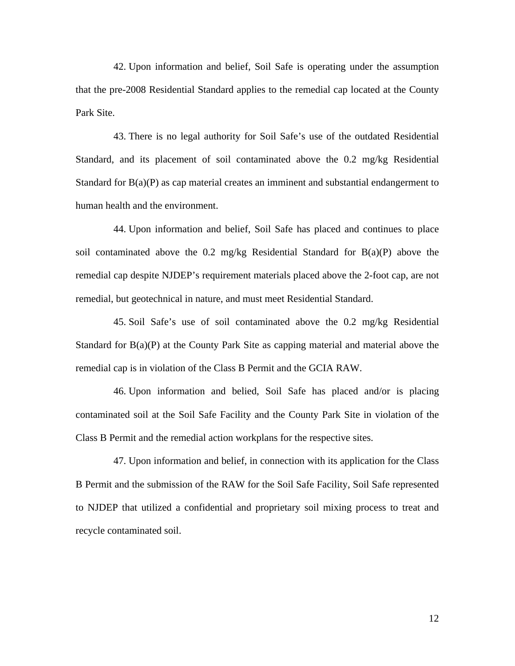42. Upon information and belief, Soil Safe is operating under the assumption that the pre-2008 Residential Standard applies to the remedial cap located at the County Park Site.

43. There is no legal authority for Soil Safe's use of the outdated Residential Standard, and its placement of soil contaminated above the 0.2 mg/kg Residential Standard for B(a)(P) as cap material creates an imminent and substantial endangerment to human health and the environment.

44. Upon information and belief, Soil Safe has placed and continues to place soil contaminated above the 0.2 mg/kg Residential Standard for  $B(a)(P)$  above the remedial cap despite NJDEP's requirement materials placed above the 2-foot cap, are not remedial, but geotechnical in nature, and must meet Residential Standard.

45. Soil Safe's use of soil contaminated above the 0.2 mg/kg Residential Standard for B(a)(P) at the County Park Site as capping material and material above the remedial cap is in violation of the Class B Permit and the GCIA RAW.

46. Upon information and belied, Soil Safe has placed and/or is placing contaminated soil at the Soil Safe Facility and the County Park Site in violation of the Class B Permit and the remedial action workplans for the respective sites.

47. Upon information and belief, in connection with its application for the Class B Permit and the submission of the RAW for the Soil Safe Facility, Soil Safe represented to NJDEP that utilized a confidential and proprietary soil mixing process to treat and recycle contaminated soil.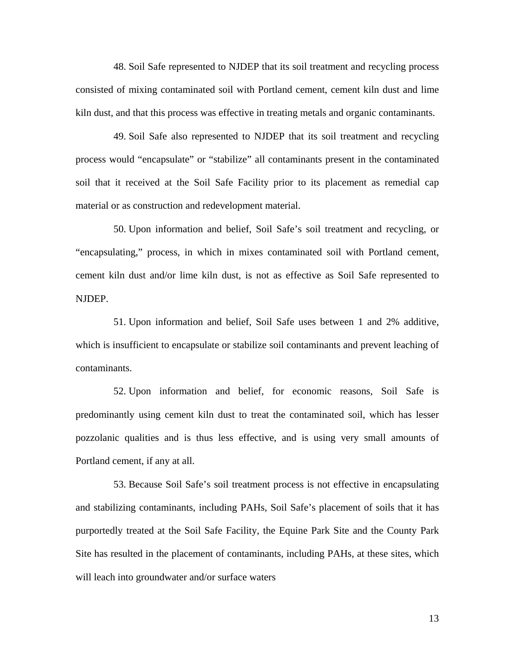48. Soil Safe represented to NJDEP that its soil treatment and recycling process consisted of mixing contaminated soil with Portland cement, cement kiln dust and lime kiln dust, and that this process was effective in treating metals and organic contaminants.

49. Soil Safe also represented to NJDEP that its soil treatment and recycling process would "encapsulate" or "stabilize" all contaminants present in the contaminated soil that it received at the Soil Safe Facility prior to its placement as remedial cap material or as construction and redevelopment material.

50. Upon information and belief, Soil Safe's soil treatment and recycling, or "encapsulating," process, in which in mixes contaminated soil with Portland cement, cement kiln dust and/or lime kiln dust, is not as effective as Soil Safe represented to NJDEP.

51. Upon information and belief, Soil Safe uses between 1 and 2% additive, which is insufficient to encapsulate or stabilize soil contaminants and prevent leaching of contaminants.

52. Upon information and belief, for economic reasons, Soil Safe is predominantly using cement kiln dust to treat the contaminated soil, which has lesser pozzolanic qualities and is thus less effective, and is using very small amounts of Portland cement, if any at all.

53. Because Soil Safe's soil treatment process is not effective in encapsulating and stabilizing contaminants, including PAHs, Soil Safe's placement of soils that it has purportedly treated at the Soil Safe Facility, the Equine Park Site and the County Park Site has resulted in the placement of contaminants, including PAHs, at these sites, which will leach into groundwater and/or surface waters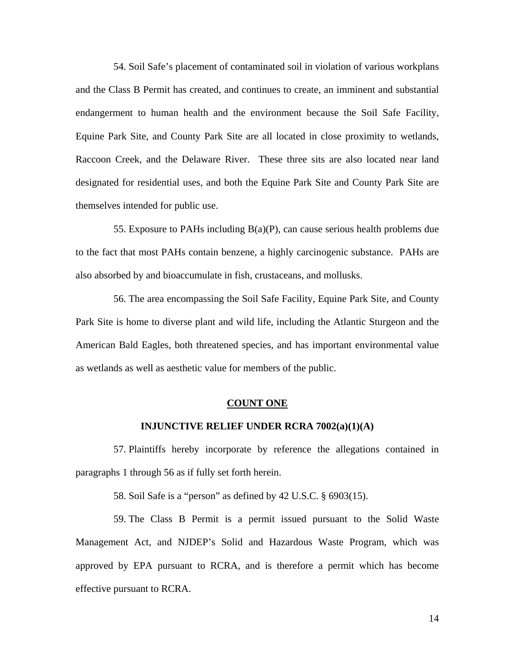54. Soil Safe's placement of contaminated soil in violation of various workplans and the Class B Permit has created, and continues to create, an imminent and substantial endangerment to human health and the environment because the Soil Safe Facility, Equine Park Site, and County Park Site are all located in close proximity to wetlands, Raccoon Creek, and the Delaware River. These three sits are also located near land designated for residential uses, and both the Equine Park Site and County Park Site are themselves intended for public use.

55. Exposure to PAHs including B(a)(P), can cause serious health problems due to the fact that most PAHs contain benzene, a highly carcinogenic substance. PAHs are also absorbed by and bioaccumulate in fish, crustaceans, and mollusks.

56. The area encompassing the Soil Safe Facility, Equine Park Site, and County Park Site is home to diverse plant and wild life, including the Atlantic Sturgeon and the American Bald Eagles, both threatened species, and has important environmental value as wetlands as well as aesthetic value for members of the public.

#### **COUNT ONE**

### **INJUNCTIVE RELIEF UNDER RCRA 7002(a)(1)(A)**

57. Plaintiffs hereby incorporate by reference the allegations contained in paragraphs 1 through 56 as if fully set forth herein.

58. Soil Safe is a "person" as defined by 42 U.S.C. § 6903(15).

59. The Class B Permit is a permit issued pursuant to the Solid Waste Management Act, and NJDEP's Solid and Hazardous Waste Program, which was approved by EPA pursuant to RCRA, and is therefore a permit which has become effective pursuant to RCRA.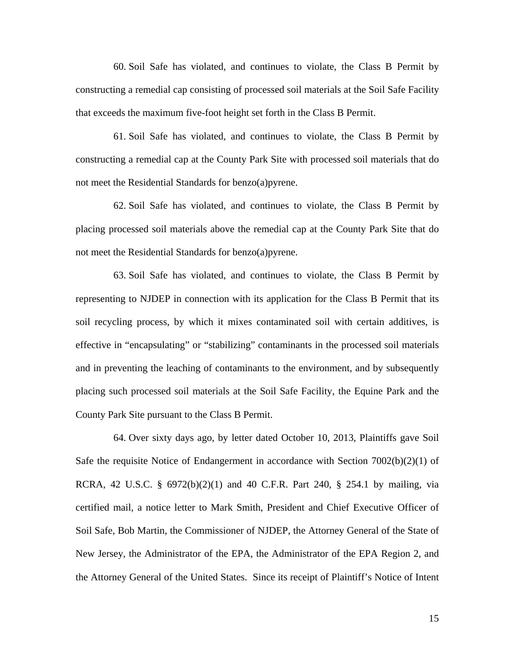60. Soil Safe has violated, and continues to violate, the Class B Permit by constructing a remedial cap consisting of processed soil materials at the Soil Safe Facility that exceeds the maximum five-foot height set forth in the Class B Permit.

61. Soil Safe has violated, and continues to violate, the Class B Permit by constructing a remedial cap at the County Park Site with processed soil materials that do not meet the Residential Standards for benzo(a)pyrene.

62. Soil Safe has violated, and continues to violate, the Class B Permit by placing processed soil materials above the remedial cap at the County Park Site that do not meet the Residential Standards for benzo(a)pyrene.

63. Soil Safe has violated, and continues to violate, the Class B Permit by representing to NJDEP in connection with its application for the Class B Permit that its soil recycling process, by which it mixes contaminated soil with certain additives, is effective in "encapsulating" or "stabilizing" contaminants in the processed soil materials and in preventing the leaching of contaminants to the environment, and by subsequently placing such processed soil materials at the Soil Safe Facility, the Equine Park and the County Park Site pursuant to the Class B Permit.

64. Over sixty days ago, by letter dated October 10, 2013, Plaintiffs gave Soil Safe the requisite Notice of Endangerment in accordance with Section  $7002(b)(2)(1)$  of RCRA, 42 U.S.C. § 6972(b)(2)(1) and 40 C.F.R. Part 240, § 254.1 by mailing, via certified mail, a notice letter to Mark Smith, President and Chief Executive Officer of Soil Safe, Bob Martin, the Commissioner of NJDEP, the Attorney General of the State of New Jersey, the Administrator of the EPA, the Administrator of the EPA Region 2, and the Attorney General of the United States. Since its receipt of Plaintiff's Notice of Intent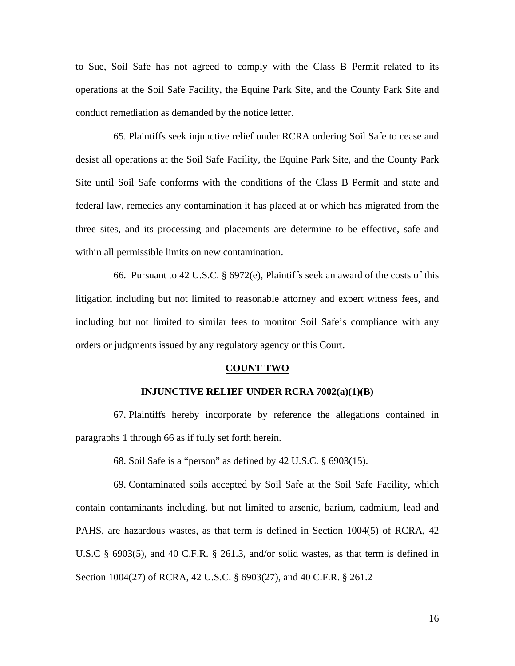to Sue, Soil Safe has not agreed to comply with the Class B Permit related to its operations at the Soil Safe Facility, the Equine Park Site, and the County Park Site and conduct remediation as demanded by the notice letter.

65. Plaintiffs seek injunctive relief under RCRA ordering Soil Safe to cease and desist all operations at the Soil Safe Facility, the Equine Park Site, and the County Park Site until Soil Safe conforms with the conditions of the Class B Permit and state and federal law, remedies any contamination it has placed at or which has migrated from the three sites, and its processing and placements are determine to be effective, safe and within all permissible limits on new contamination.

66. Pursuant to 42 U.S.C. § 6972(e), Plaintiffs seek an award of the costs of this litigation including but not limited to reasonable attorney and expert witness fees, and including but not limited to similar fees to monitor Soil Safe's compliance with any orders or judgments issued by any regulatory agency or this Court.

### **COUNT TWO**

## **INJUNCTIVE RELIEF UNDER RCRA 7002(a)(1)(B)**

67. Plaintiffs hereby incorporate by reference the allegations contained in paragraphs 1 through 66 as if fully set forth herein.

68. Soil Safe is a "person" as defined by 42 U.S.C. § 6903(15).

69. Contaminated soils accepted by Soil Safe at the Soil Safe Facility, which contain contaminants including, but not limited to arsenic, barium, cadmium, lead and PAHS, are hazardous wastes, as that term is defined in Section 1004(5) of RCRA, 42 U.S.C § 6903(5), and 40 C.F.R. § 261.3, and/or solid wastes, as that term is defined in Section 1004(27) of RCRA, 42 U.S.C. § 6903(27), and 40 C.F.R. § 261.2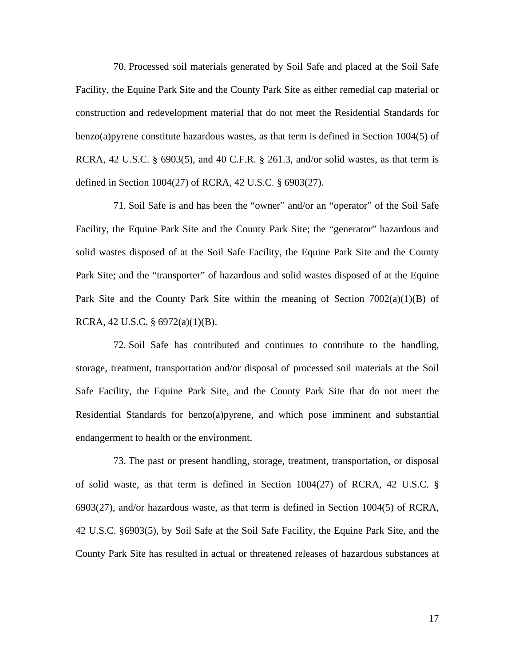70. Processed soil materials generated by Soil Safe and placed at the Soil Safe Facility, the Equine Park Site and the County Park Site as either remedial cap material or construction and redevelopment material that do not meet the Residential Standards for benzo(a)pyrene constitute hazardous wastes, as that term is defined in Section 1004(5) of RCRA, 42 U.S.C. § 6903(5), and 40 C.F.R. § 261.3, and/or solid wastes, as that term is defined in Section 1004(27) of RCRA, 42 U.S.C. § 6903(27).

71. Soil Safe is and has been the "owner" and/or an "operator" of the Soil Safe Facility, the Equine Park Site and the County Park Site; the "generator" hazardous and solid wastes disposed of at the Soil Safe Facility, the Equine Park Site and the County Park Site; and the "transporter" of hazardous and solid wastes disposed of at the Equine Park Site and the County Park Site within the meaning of Section  $7002(a)(1)(B)$  of RCRA, 42 U.S.C. § 6972(a)(1)(B).

72. Soil Safe has contributed and continues to contribute to the handling, storage, treatment, transportation and/or disposal of processed soil materials at the Soil Safe Facility, the Equine Park Site, and the County Park Site that do not meet the Residential Standards for benzo(a)pyrene, and which pose imminent and substantial endangerment to health or the environment.

73. The past or present handling, storage, treatment, transportation, or disposal of solid waste, as that term is defined in Section 1004(27) of RCRA, 42 U.S.C. § 6903(27), and/or hazardous waste, as that term is defined in Section 1004(5) of RCRA, 42 U.S.C. §6903(5), by Soil Safe at the Soil Safe Facility, the Equine Park Site, and the County Park Site has resulted in actual or threatened releases of hazardous substances at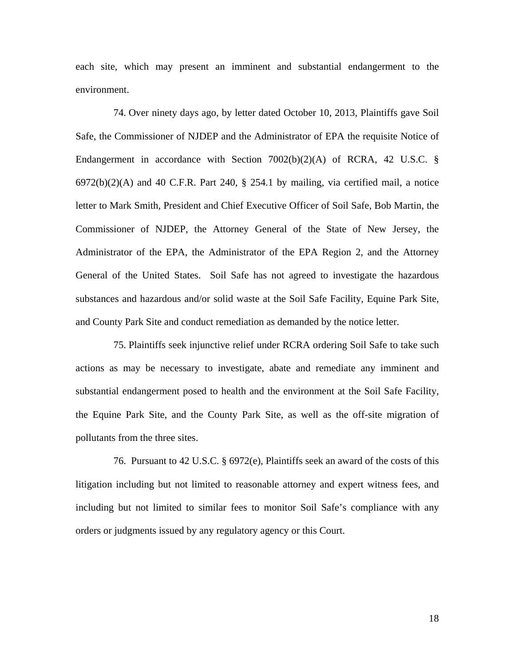each site, which may present an imminent and substantial endangerment to the environment.

74. Over ninety days ago, by letter dated October 10, 2013, Plaintiffs gave Soil Safe, the Commissioner of NJDEP and the Administrator of EPA the requisite Notice of Endangerment in accordance with Section  $7002(b)(2)(A)$  of RCRA, 42 U.S.C. §  $6972(b)(2)(A)$  and 40 C.F.R. Part 240, § 254.1 by mailing, via certified mail, a notice letter to Mark Smith, President and Chief Executive Officer of Soil Safe, Bob Martin, the Commissioner of NJDEP, the Attorney General of the State of New Jersey, the Administrator of the EPA, the Administrator of the EPA Region 2, and the Attorney General of the United States. Soil Safe has not agreed to investigate the hazardous substances and hazardous and/or solid waste at the Soil Safe Facility, Equine Park Site, and County Park Site and conduct remediation as demanded by the notice letter.

75. Plaintiffs seek injunctive relief under RCRA ordering Soil Safe to take such actions as may be necessary to investigate, abate and remediate any imminent and substantial endangerment posed to health and the environment at the Soil Safe Facility, the Equine Park Site, and the County Park Site, as well as the off-site migration of pollutants from the three sites.

76. Pursuant to 42 U.S.C. § 6972(e), Plaintiffs seek an award of the costs of this litigation including but not limited to reasonable attorney and expert witness fees, and including but not limited to similar fees to monitor Soil Safe's compliance with any orders or judgments issued by any regulatory agency or this Court.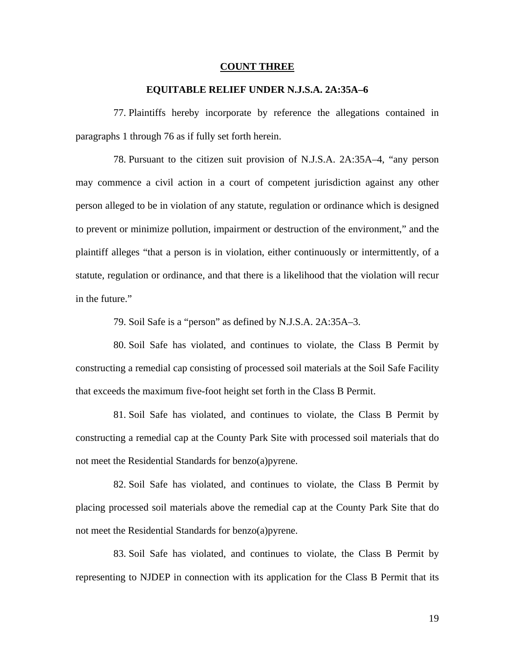### **COUNT THREE**

## **EQUITABLE RELIEF UNDER N.J.S.A. 2A:35A–6**

77. Plaintiffs hereby incorporate by reference the allegations contained in paragraphs 1 through 76 as if fully set forth herein.

78. Pursuant to the citizen suit provision of N.J.S.A. 2A:35A–4, "any person may commence a civil action in a court of competent jurisdiction against any other person alleged to be in violation of any statute, regulation or ordinance which is designed to prevent or minimize pollution, impairment or destruction of the environment," and the plaintiff alleges "that a person is in violation, either continuously or intermittently, of a statute, regulation or ordinance, and that there is a likelihood that the violation will recur in the future."

79. Soil Safe is a "person" as defined by N.J.S.A. 2A:35A–3.

80. Soil Safe has violated, and continues to violate, the Class B Permit by constructing a remedial cap consisting of processed soil materials at the Soil Safe Facility that exceeds the maximum five-foot height set forth in the Class B Permit.

81. Soil Safe has violated, and continues to violate, the Class B Permit by constructing a remedial cap at the County Park Site with processed soil materials that do not meet the Residential Standards for benzo(a)pyrene.

82. Soil Safe has violated, and continues to violate, the Class B Permit by placing processed soil materials above the remedial cap at the County Park Site that do not meet the Residential Standards for benzo(a)pyrene.

83. Soil Safe has violated, and continues to violate, the Class B Permit by representing to NJDEP in connection with its application for the Class B Permit that its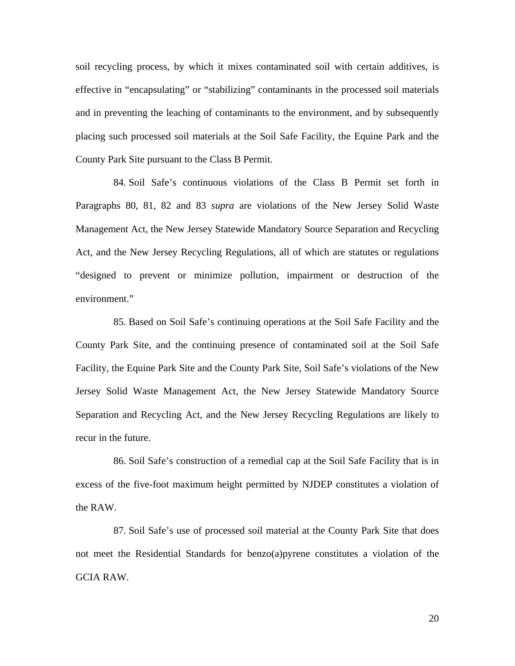soil recycling process, by which it mixes contaminated soil with certain additives, is effective in "encapsulating" or "stabilizing" contaminants in the processed soil materials and in preventing the leaching of contaminants to the environment, and by subsequently placing such processed soil materials at the Soil Safe Facility, the Equine Park and the County Park Site pursuant to the Class B Permit.

84. Soil Safe's continuous violations of the Class B Permit set forth in Paragraphs 80, 81, 82 and 83 *supra* are violations of the New Jersey Solid Waste Management Act, the New Jersey Statewide Mandatory Source Separation and Recycling Act, and the New Jersey Recycling Regulations, all of which are statutes or regulations "designed to prevent or minimize pollution, impairment or destruction of the environment."

85. Based on Soil Safe's continuing operations at the Soil Safe Facility and the County Park Site, and the continuing presence of contaminated soil at the Soil Safe Facility, the Equine Park Site and the County Park Site, Soil Safe's violations of the New Jersey Solid Waste Management Act, the New Jersey Statewide Mandatory Source Separation and Recycling Act, and the New Jersey Recycling Regulations are likely to recur in the future.

86. Soil Safe's construction of a remedial cap at the Soil Safe Facility that is in excess of the five-foot maximum height permitted by NJDEP constitutes a violation of the RAW.

87. Soil Safe's use of processed soil material at the County Park Site that does not meet the Residential Standards for benzo(a)pyrene constitutes a violation of the GCIA RAW.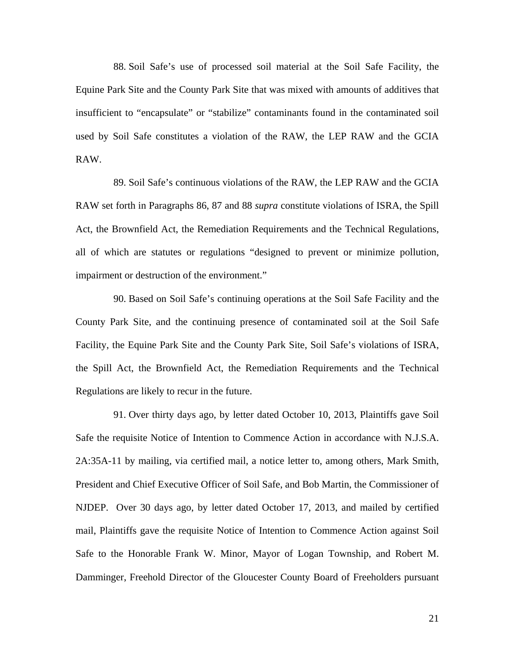88. Soil Safe's use of processed soil material at the Soil Safe Facility, the Equine Park Site and the County Park Site that was mixed with amounts of additives that insufficient to "encapsulate" or "stabilize" contaminants found in the contaminated soil used by Soil Safe constitutes a violation of the RAW, the LEP RAW and the GCIA RAW.

89. Soil Safe's continuous violations of the RAW, the LEP RAW and the GCIA RAW set forth in Paragraphs 86, 87 and 88 *supra* constitute violations of ISRA, the Spill Act, the Brownfield Act, the Remediation Requirements and the Technical Regulations, all of which are statutes or regulations "designed to prevent or minimize pollution, impairment or destruction of the environment."

90. Based on Soil Safe's continuing operations at the Soil Safe Facility and the County Park Site, and the continuing presence of contaminated soil at the Soil Safe Facility, the Equine Park Site and the County Park Site, Soil Safe's violations of ISRA, the Spill Act, the Brownfield Act, the Remediation Requirements and the Technical Regulations are likely to recur in the future.

91. Over thirty days ago, by letter dated October 10, 2013, Plaintiffs gave Soil Safe the requisite Notice of Intention to Commence Action in accordance with N.J.S.A. 2A:35A-11 by mailing, via certified mail, a notice letter to, among others, Mark Smith, President and Chief Executive Officer of Soil Safe, and Bob Martin, the Commissioner of NJDEP. Over 30 days ago, by letter dated October 17, 2013, and mailed by certified mail, Plaintiffs gave the requisite Notice of Intention to Commence Action against Soil Safe to the Honorable Frank W. Minor, Mayor of Logan Township, and Robert M. Damminger, Freehold Director of the Gloucester County Board of Freeholders pursuant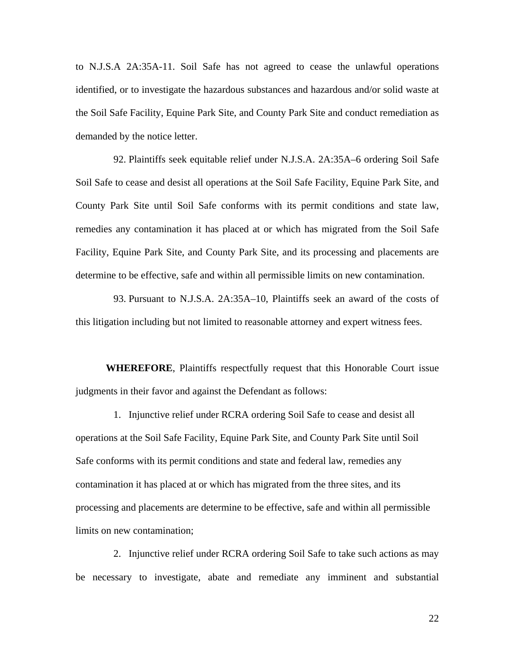to N.J.S.A 2A:35A-11. Soil Safe has not agreed to cease the unlawful operations identified, or to investigate the hazardous substances and hazardous and/or solid waste at the Soil Safe Facility, Equine Park Site, and County Park Site and conduct remediation as demanded by the notice letter.

92. Plaintiffs seek equitable relief under N.J.S.A. 2A:35A–6 ordering Soil Safe Soil Safe to cease and desist all operations at the Soil Safe Facility, Equine Park Site, and County Park Site until Soil Safe conforms with its permit conditions and state law, remedies any contamination it has placed at or which has migrated from the Soil Safe Facility, Equine Park Site, and County Park Site, and its processing and placements are determine to be effective, safe and within all permissible limits on new contamination.

93. Pursuant to N.J.S.A. 2A:35A–10, Plaintiffs seek an award of the costs of this litigation including but not limited to reasonable attorney and expert witness fees.

**WHEREFORE**, Plaintiffs respectfully request that this Honorable Court issue judgments in their favor and against the Defendant as follows:

1. Injunctive relief under RCRA ordering Soil Safe to cease and desist all operations at the Soil Safe Facility, Equine Park Site, and County Park Site until Soil Safe conforms with its permit conditions and state and federal law, remedies any contamination it has placed at or which has migrated from the three sites, and its processing and placements are determine to be effective, safe and within all permissible limits on new contamination;

2. Injunctive relief under RCRA ordering Soil Safe to take such actions as may be necessary to investigate, abate and remediate any imminent and substantial